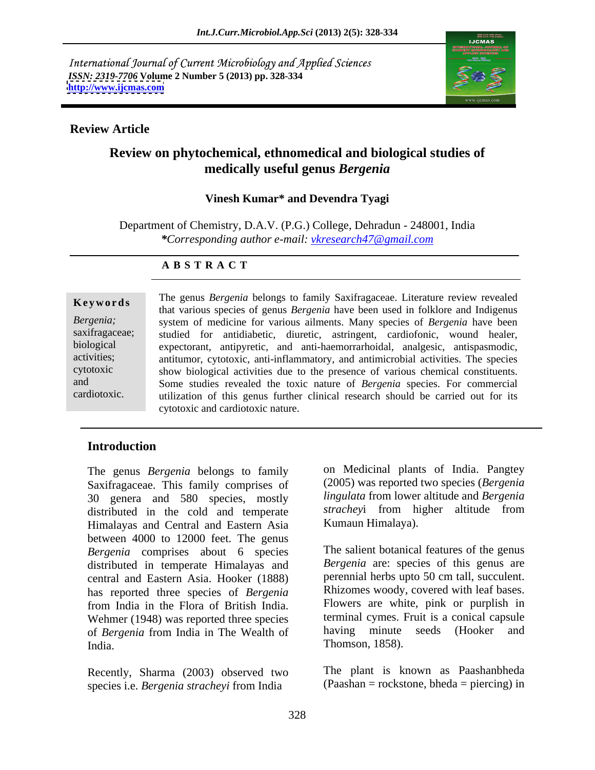International Journal of Current Microbiology and Applied Sciences *ISSN: 2319-7706* **Volume 2 Number 5 (2013) pp. 328-334 <http://www.ijcmas.com>**



# **Review Article**

# **Review on phytochemical, ethnomedical and biological studies of medically useful genus** *Bergenia*

### **Vinesh Kumar\* and Devendra Tyagi**

Department of Chemistry, D.A.V. (P.G.) College, Dehradun - 248001, India *\*Corresponding author e-mail: vkresearch47@gmail.com*

### **A B S T R A C T**

**Keywords** The genus *Bergenia* belongs to failing Saxinagaceae. Elterature feview revealed that various species of genus *Bergenia* have been used in folklore and Indigenus *Bergenia;*  system of medicine for various ailments. Many species of *Bergenia* have been saxifragaceae; studied for antidiabetic, diuretic, astringent, cardiofonic, wound healer, biological expectorant, antipyretic, and anti-haemorrarhoidal, analgesic, antispasmodic, activities; antitumor, cytotoxic, anti-inflammatory, and antimicrobial activities. The species cytotoxic show biological activities due to the presence of various chemical constituents. and Some studies revealed the toxic nature of *Bergenia* species. For commercial cardiotoxic. utilization of this genus further clinical research should be carried out for its The genus *Bergenia* belongs to family Saxifragaceae. Literature review revealed cytotoxic and cardiotoxic nature.

# **Introduction**

The genus *Bergenia* belongs to family Saxifragaceae. This family comprises of (2005) was reported two species (*Bergenia*<br>30 genera and 580 species, mostly *lingulata* from lower altitude and *Bergenia* distributed in the cold and temperate *strachey* from higher altitude from Himalayas and Central and Eastern Asia between 4000 to 12000 feet. The genus *Bergenia* comprises about 6 species distributed in temperate Himalayas and central and Eastern Asia. Hooker (1888) has reported three species of *Bergenia* from India in the Flora of British India. Flowers are white, pink or purplish in<br>Wehmer (1948) was reported three species terminal cymes. Fruit is a conical capsule of *Bergenia* from India in The Wealth of India. Thomson, 1858).

Recently, Sharma (2003) observed two species i.e. *Bergenia stracheyi* from India

on Medicinal plants of India. Pangtey (2005) was reported two species (*Bergenia lingulata* from lower altitude and *Bergenia strachey*i from higher altitude from Kumaun Himalaya).

The salient botanical features of the genus *Bergenia* are: species of this genus are perennial herbs upto 50 cm tall, succulent. Rhizomes woody, covered with leaf bases. Flowers are white, pink or purplish in terminal cymes. Fruit is a conical capsule having minute seeds (Hooker and Thomson, 1858).

The plant is known as Paashanbheda (Paashan = rockstone, bheda = piercing) in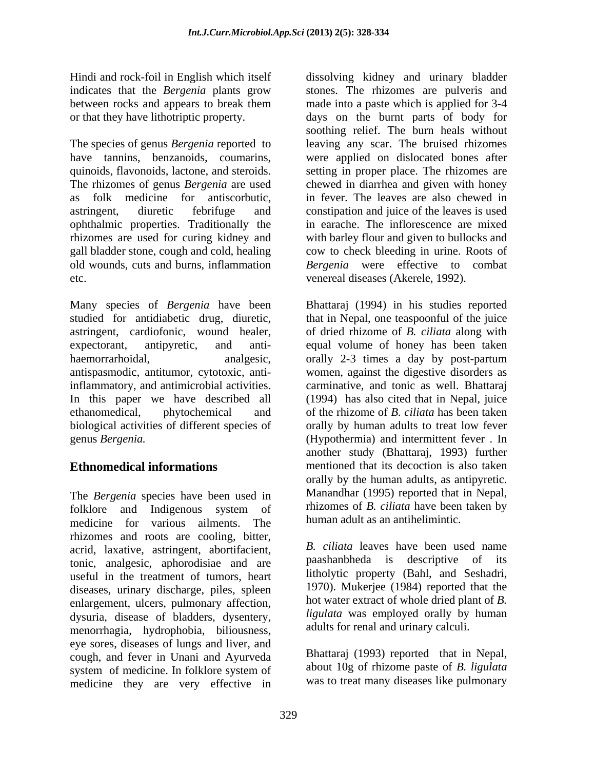indicates that the *Bergenia* plants grow

The species of genus *Bergenia* reported to leaving any scar. The bruised rhizomes have tannins, benzanoids, coumarins, were applied on dislocated bones after quinoids, flavonoids, lactone, and steroids. Setting in proper place. The rhizomes are The rhizomes of genus *Bergenia* are used chewed in diarrhea and given with honey as folk medicine for antiscorbutic, in fever. The leaves are also chewed in astringent, diuretic febrifuge and constipation and juice of the leaves is used ophthalmic properties. Traditionally the rhizomes are used for curing kidney and gall bladder stone, cough and cold, healing cow to check bleeding in urine. Roots of old wounds, cuts and burns, inflammation *Bergenia* were effective to combat etc. venereal diseases (Akerele, 1992).

Many species of *Bergenia* have been Bhattaraj (1994) in his studies reported studied for antidiabetic drug, diuretic, that in Nepal, one teaspoonful of the juice astringent, cardiofonic, wound healer, of dried rhizome of *B. ciliata* along with expectorant, antipyretic, and anti- equal volume of honey has been taken haemorrarhoidal, analgesic, orally 2-3 times a day by post-partum antispasmodic, antitumor, cytotoxic, anti-women, against the digestive disorders as inflammatory, and antimicrobial activities. carminative, and tonic as well. Bhattaraj In this paper we have described all (1994) has also cited that in Nepal, juice ethanomedical, phytochemical and of the rhizome of *B. ciliata* has been taken biological activities of different species of genus *Bergenia.* (Hypothermia) and intermittent fever . In

folklore and Indigenous system of **Thizomes** of *B. ciliata* have been taken by medicine for various ailments. The rhizomes and roots are cooling, bitter, acrid, laxative, astringent, abortifacient, tonic, analgesic, aphorodisiae and are useful in the treatment of tumors, heart diseases, urinary discharge, piles, spleen enlargement, ulcers, pulmonary affection, dysuria, disease of bladders, dysentery, menorrhagia, hydrophobia, biliousness, eye sores, diseases of lungs and liver, and cough, and fever in Unani and Ayurveda system of medicine. In folklore system of about 10g of rhizome paste of B. ligulata medicine they are very effective in

Hindi and rock-foil in English which itself dissolving kidney and urinary bladder between rocks and appears to break them made into a paste which is applied for 3-4 or that they have lithotriptic property. days on the burnt parts of body for stones. The rhizomes are pulveris and soothing relief. The burn heals without in earache. The inflorescence are mixed with barley flour and given to bullocks and

**Ethnomedical informations** mentioned that its decoction is also taken The *Bergenia* species have been used in Manandhar (1995) reported that in Nepal, orally by human adults to treat low fever another study (Bhattaraj, 1993) further orally by the human adults, as antipyretic. Manandhar (1995) reported that in Nepal, rhizomes of *B. ciliata* have been taken by human adult as an antihelimintic.

> *B. ciliata* leaves have been used name paashanbheda is descriptive of its litholytic property (Bahl, and Seshadri, 1970). Mukerjee (1984) reported that the hot water extract of whole dried plant of *B. ligulata* was employed orally by human adults for renal and urinary calculi.

> Bhattaraj (1993) reported that in Nepal, about 10g of rhizome paste of *B. ligulata* was to treat many diseases like pulmonary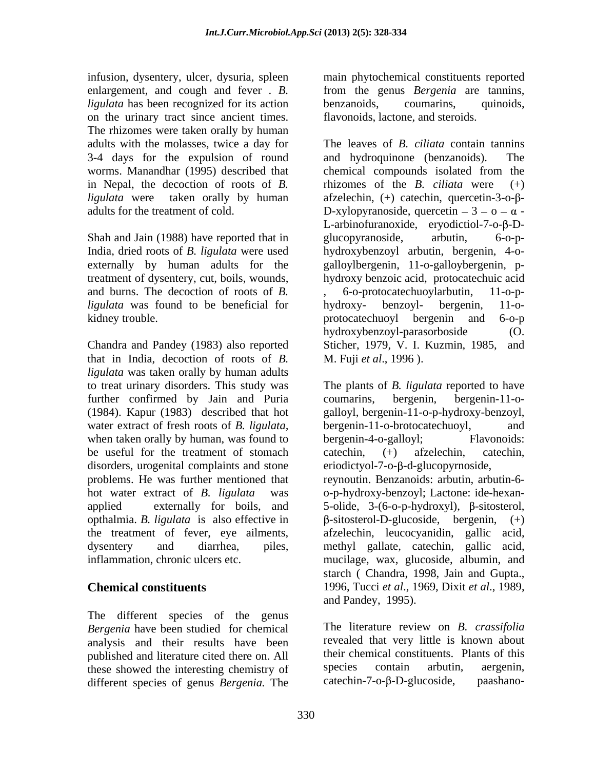infusion, dysentery, ulcer, dysuria, spleen main phytochemical constituents reported enlargement, and cough and fever . *B. ligulata* has been recognized for its action benzanoids, coumarins, quinoids, on the urinary tract since ancient times. The rhizomes were taken orally by human 3-4 days for the expulsion of round and hydroquinone (benzanoids). The in Nepal, the decoction of roots of *B.*

and burns. The decoction of roots of *B*.  $\overline{6}$ - $\overline{0}$ - $\overline{0}$ -o-protocatechuovlarbutin. 11- $\overline{0}$ -p*ligulata* was found to be beneficial for hydroxy- benzoyl- bergenin, 11-okidney trouble. The same protocate end of the state of the state of the state of the state of the state of the state of the state of the state of the state of the state of the state of the state of the state of the state o

Chandra and Pandey (1983) also reported Sticher, 1979, V. I. Kuzmin, 1985, and that in India, decoction of roots of *B*. *M.* Fuji *et al.*, 1996). *ligulata* was taken orally by human adults to treat urinary disorders. This study was The plants of *B. ligulata* reported to have further confirmed by Jain and Puria coumarins, bergenin, bergenin-11-o-(1984). Kapur (1983) described that hot galloyl, bergenin-11-o-p-hydroxy-benzoyl, water extract of fresh roots of *B. ligulata*, bergenin-11-o-brotocatechuoyl, and when taken orally by human, was found to bergenin-4-o-galloy! Flavonoids: be useful for the treatment of stomach catechin,  $(+)$  afzelechin, catechin, disorders, urogenital complaints and stone problems. He was further mentioned that reynoutin. Benzanoids: arbutin, arbutin-6 hot water extract of *B. ligulata* was o-p-hydroxy-benzoyl; Lactone: ide-hexan applied externally for boils, and  $5$ -olide,  $3-(6$ -o-p-hydroxyl),  $\beta$ -sitosterol, applied externally for boils, and 5-olide, 3-(6-o-p-hydroxyl),  $\beta$ -sitosterol, opthalmia. *B. ligulata* is also effective in  $\beta$ -sitosterol-D-glucoside, bergenin, (+) the treatment of fever, eye ailments, afzelechin, leucocyanidin, gallic acid, dysentery and diarrhea, piles, methyl gallate, catechin, gallic acid,

The different species of the genus *Bergenia* have been studied for chemical analysis and their results have been published and literature cited there on. All their chemical constituents. Plants of this these showed the interesting chemistry of species contain arbutin, aergenin, these showed the interesting chemistry of species contain arbutin, aergenin,<br>different species of genus *Bergenia*, The catechin-7-o-B-D-glucoside, paashanodifferent species of genus *Bergenia.* The

from the genus *Bergenia* are tannins, benzanoids, coumarins, quinoids, flavonoids, lactone, and steroids.

adults with the molasses, twice a day for The leaves of *B. ciliata* contain tannins worms. Manandhar (1995) described that chemical compounds isolated from the *ligulata* were taken orally by human afzelechin, (+) catechin, quercetin-3-o-βadults for the treatment of cold.<br>
Shah and Jain (1988) have reported that in Blucopyranoside, eryodictiol-7-o- $\beta$ -D-<br>
Shah and Jain (1988) have reported that in glucopyranoside, arbutin, 6-o-p-India, dried roots of *B. ligulata* were used hydroxybenzoyl arbutin, bergenin, 4-oexternally by human adults for the galloylbergenin, 11-o-galloybergenin, p treatment of dysentery, cut, boils, wounds, hydroxy benzoic acid, protocatechuic acid and hydroquinone (benzanoids). rhizomes of the *B*. *ciliata* were D-xylopyranoside, quercetin  $-3 - 0 - \alpha$  -L-arbinofuranoxide, eryodictiol-7-o- $\beta$ -Dglucopyranoside, arbutin, 6-o-p- 6-o-protocatechuoylarbutin, hydroxy- benzoyl- bergenin, 11-o protocatechuoyl bergenin and 6-o-p hydroxybenzoyl-parasorboside (O. Sticher, 1979, V. I. Kuzmin, 1985, and M. Fuji *et al*., 1996 ).

inflammation, chronic ulcers etc. mucilage, wax, glucoside, albumin, and **Chemical constituents** 1996, Tucci et al., 1969, Dixit et al., 1989, coumarins, bergenin, bergenin-11-o bergenin-11-o-brotocatechuoyl, bergenin-4-o-galloyl; catechin, (+) afzelechin, catechin, eriodictyol-7-o- $\beta$ -d-glucopyrnoside, afzelechin, leucocyanidin, gallic acid, methyl gallate, catechin, gallic acid, starch ( Chandra, 1998, Jain and Gupta.,1996, Tucci *et al*., 1969, Dixit *et al*., 1989, and Pandey, 1995).

> The literature review on *B. crassifolia* revealed that very little is known about their chemical constituents. Plants of this species contain arbutin, aergenin,  $\alpha$  catechin-7-o- $\beta$ -D-glucoside,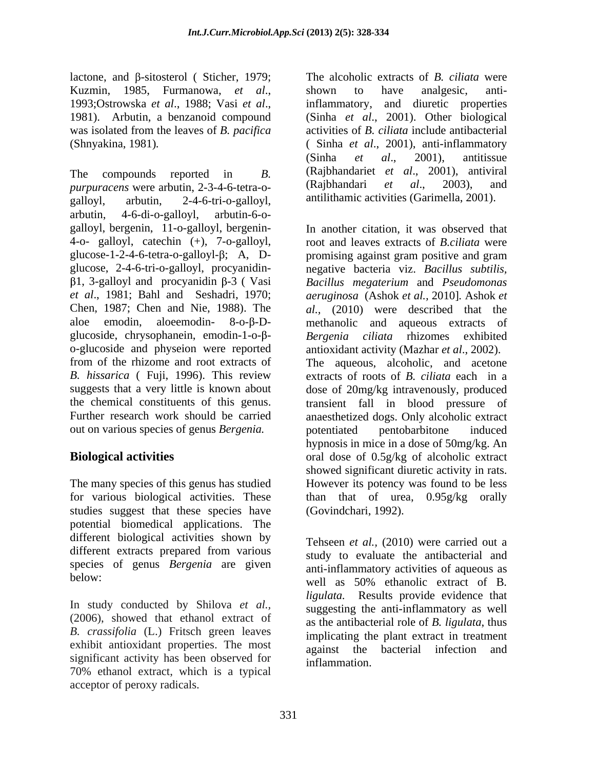lactone, and  $\beta$ -sitosterol (Sticher, 1979; The alcoholic extracts of *B. ciliata* were Kuzmin, 1985, Furmanowa, *et al*., 1993;Ostrowska *et al*., 1988; Vasi *et al*., inflammatory, and diuretic properties 1981). Arbutin, a benzanoid compound (Sinha *et al*., 2001). Other biological was isolated from the leaves of *B. pacifica* (Shnyakina, 1981)*.* ( Sinha *et al*., 2001), anti-inflammatory

The compounds reported in *B*. (Rajbhandariet *et al.*, 2001), antiviral *purpuracens* were arbutin, 2-3-4-6-tetra-o- (Rajbhandari *et al.*, 2003), and galloyl, arbutin, 2-4-6-tri-o-galloyl, antilithamic activities (Garimella, 2001). arbutin, 4-6-di-o-galloyl, arbutin-6-o galloyl, bergenin, 11-o-galloyl, bergenin- 4-o- galloyl, catechin (+), 7-o-galloyl, glucose-1-2-4-6-tetra-o-galloyl- $\beta$ ; A, D- promising against gram positive and gram out on various species of genus *Bergenia.* 

studies suggest that these species have potential biomedical applications. The different biological activities shown by different extracts prepared from various species of genus *Bergenia* are given

(2006), showed that ethanol extract of *B. crassifolia* (L.) Fritsch green leaves exhibit antioxidant properties. The most<br>against the bacterial infection and significant activity has been observed for 70% ethanol extract, which is a typical

shown to have analgesic, antiactivities of *B. ciliata* include antibacterial (Sinha *et al*., 2001), antitissue (Rajbhandariet *et al*., 2001), antiviral (Rajbhandari *et al*., 2003), and

glucose, 2-4-6-tri-o-galloyl, procyanidin- negative bacteria viz. *Bacillus subtilis,* 1, 3-galloyl and procyanidin β-3 (Vasi Bacillus *megaterium* and *Pseudomonas et al*., 1981; Bahl and Seshadri, 1970; *aeruginosa* (Ashok *et al.,* 2010]*.* Ashok *et*  Chen, 1987; Chen and Nie, 1988). The *al.,* (2010) were described that the aloe emodin, aloeemodin-  $8$ -o- $\beta$ -D- methanolic and aqueous extracts of glucoside, chrysophanein, emodin-1-o-β-<br>Bergenia ciliata rhizomes exhibited o-glucoside and physeion were reported antioxidant activity (Mazhar *et al*., 2002). from of the rhizome and rootextracts of The aqueous, alcoholic, and acetone *B. hissarica* ( Fuji, 1996). This review extracts of roots of *B. ciliata* each in a suggests that a very little is known about dose of 20mg/kg intravenously, produced the chemical constituents of this genus. transient fall in blood pressure of Further research work should be carried anaesthetized dogs. Only alcoholic extract **Biological activities** The Second dose of 0.5g/kg of alcoholic extract The many species of this genus has studied However its potency was found to be less for various biological activities. These than that of urea, 0.95g/kg orally haccene and personska et applied with the alcoholic within a summarized of *B. ciliata* were allowed to *d*, 1985. National company and distribution of *B. ciliata* were allowed to *d*, 1985. National company and distribut In another citation, it was observed that root and leaves extracts of *B.ciliata* were promising against gram positive and gram potentiated pentobarbitone induced hypnosis in mice in a dose of 50mg/kg. An showed significant diuretic activity in rats. (Govindchari, 1992).

below:<br>below:<br>well as 50% ethanolic extract of B. In study conducted by Shilova *et al.,* Tehseen *et al.,* (2010) were carried out a study to evaluate the antibacterial and anti-inflammatory activities of aqueous as well as 50% ethanolic extract of <sup>B</sup>*. ligulata.* Results provide evidence that suggesting the anti-inflammatory as well as the antibacterial role of *B. ligulata*, thus implicating the plant extract in treatment against the bacterial infection inflammation.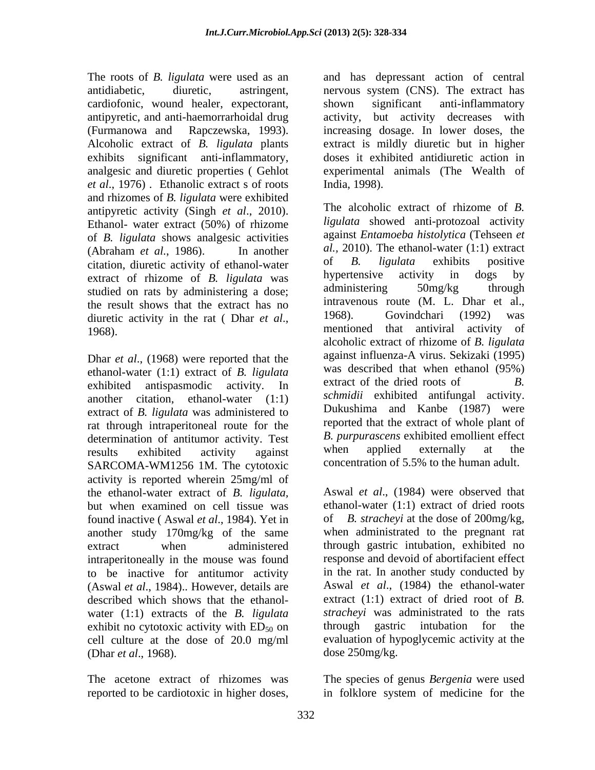The roots of *B. ligulata* were used as an and has depressant action of central antidiabetic, diuretic, astringent, nervous system (CNS). The extract has cardiofonic, wound healer, expectorant, antipyretic, and anti-haemorrarhoidal drug activity, but activity decreases with (Furmanowa and Rapczewska, 1993). Increasing dosage. In lower doses, the Alcoholic extract of *B. ligulata* plants exhibits significant anti-inflammatory, doses it exhibited antidiuretic action in analgesic and diuretic properties ( Gehlot experimental animals (The Wealth of *et al*., 1976) . Ethanolic extract s of roots and rhizomes of *B. ligulata* were exhibited antipyretic activity (Singh *et al*., 2010). Ethanol- water extract (50%) of rhizome of *B. ligulata* shows analgesic activities citation, diuretic activity of ethanol-water of  $B$ . *ligulata* exhibits positive<br>extract of thizome of  $B$  *ligulata* was hypertensive activity in dogs by extract of rhizome of *B. ligulata* was hypertensive activity in dogs by extract of rhizome of *B. ligulata* was hypertensive activity in dogs by extracted on rats by administering a dose administering 50mg/kg through studied on rats by administering a dose; the result shows that the extract has no intravenous route  $(M. L. Dhar et al.,$ <br>diuratio estivity in the ret (Dher et al. 1968). Govindchari (1992) was

Dhar *et al*., (1968) were reported that the ethanol-water (1:1) extract of *B. ligulata* was described that when ethanol (95%)<br>oxhibited ontinographic equivity. In extract of the dried roots of *B.* another citation, ethanol-water (1:1) extract of *B. ligulata* was administered to rat through intraperitoneal route for the determination of antitumor activity. Test being the *B. purpurascens* exhibited emollient effect<br>results exhibited activity against when applied externally at the SARCOMA-WM1256 1M. The cytotoxic activity is reported wherein 25mg/ml of the ethanol-water extract of *B. ligulata,* another study 170mg/kg of the same intraperitoneally in the mouse was found water (1:1) extracts of the *B*. *ligulata stracheyi* was administrated to the rats exhibit no evidency activity with ED<sub>50</sub> on through gastric intubation for the exhibit no cytotoxic activity with  $ED_{50}$  on (Dhar *et al*., 1968).

reported to be cardiotoxic in higher doses,

shown significant anti-inflammatory activity, but activity decreases with increasing dosage. In lower doses, the extract is mildly diuretic but in higher India, 1998).

(Abraham *et al.*, 1986). In another al., 2010). The ethanol-water (1:1) extract diuretic activity in the rat ( Dhar *et al.*, 1968). Govindchari (1992) was mentioned that antiviral activity of exhibited antispasmodic activity. In extract of the dried roots of B. results exhibited activity against when applied externally at the The alcoholic extract of rhizome of *B. ligulata* showed anti-protozoal activity against *Entamoeba histolytica* (Tehseen *et al.,* 2010). The ethanol-water (1:1) extract of *B. ligulata* exhibits positive hypertensive activity in dogs by administering 50mg/kg through intravenous route (M. L. Dhar et al., 1968). Govindchari (1992) was mentioned that antiviral activity of alcoholic extract of rhizome of *B. ligulata* against influenza-A virus. Sekizaki (1995) was described that when ethanol (95%) extract of the dried roots of *B*. *schmidii* exhibited antifungal activity. Dukushima and Kanbe (1987) were reported that the extract of whole plant of *B. purpurascens* exhibited emollient effect when applied externally at the concentration of 5.5% to the human adult.

but when examined on cell tissue was ethanol-water (1:1) extract of dried roots found inactive ( Aswal *et al*., 1984). Yet in of *B. stracheyi* at the dose of 200mg/kg, extract when administered through gastric intubation, exhibited no to be inactive for antitumor activity in the rat. In another study conducted by (Aswal *et al.*, 1984).. However, details are Aswal *et al.*, (1984) the ethanol-water described which shows that the ethanol- extract (1:1) extract of dried rootof *B.*  cell culture at the dose of 20.0 mg/ml evaluation of hypoglycemic activity at the Aswal *et al*., (1984) were observed that when administrated to the pregnant rat response and devoid of abortifacient effect in the rat. In another study conducted by Aswal *et al*., (1984) the ethanol-water *stracheyi* was administrated to the rats through gastric intubation for the dose 250mg/kg.

The acetone extract of rhizomes was The species of genus *Bergenia* were used in folklore system of medicine for the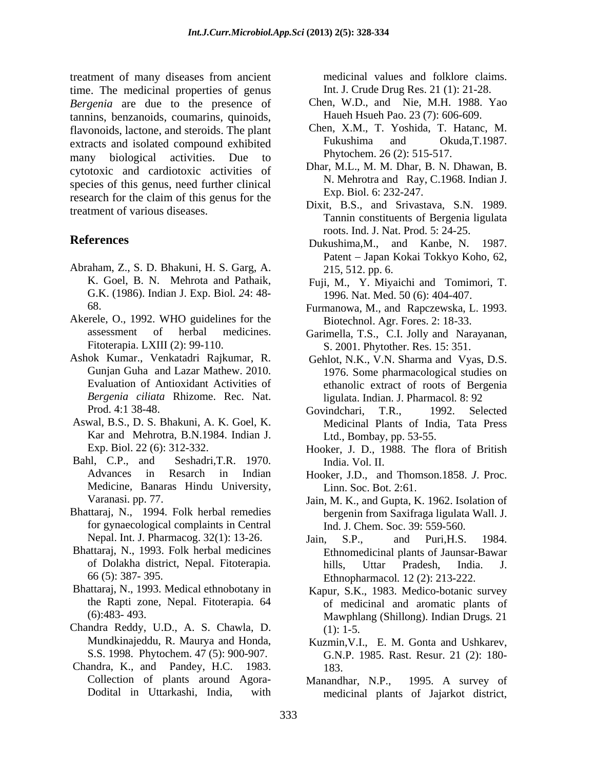treatment of many diseases from ancient time. The medicinal properties of genus *Bergenia* are due to the presence of tannins, benzanoids, coumarins, quinoids, flavonoids, lactone, and steroids. The plant Chen, X.M., T. Yoshida, T. Hatanc, M.<br>extracts and isolated compound exhibited Fukushima and Okuda.T.1987. extracts and isolated compound exhibited many biological activities. Due to cytotoxic and cardiotoxic activities of species of this genus, need further clinical research for the claim of this genus for the treatment of various diseases.

- Abraham, Z., S. D. Bhakuni, H. S. Garg, A. G.K. (1986). Indian J. Exp. Biol*. 2*4: 48-
- Akerele, O., 1992. WHO guidelines for the
- Ashok Kumar., Venkatadri Rajkumar, R. Gehlot, N.K., V.N. Sharma and Vyas, D.S. *Bergenia ciliata* Rhizome. Rec. Nat.
- Kar and Mehrotra, B.N.1984. Indian J.
- Advances in Resarch in Indian Hooker, J.D., and Thomson.1858. *J*. Proc. Medicine*,* Banaras Hindu University,
- Bhattaraj, N., 1994. Folk herbal remedies for gynaecological complaints in Central Nepal. Int. J. Pharmacog. 32(1): 13-26. Jain. S.P., and Puri.H.S. 1984.
- Bhattaraj, N., 1993. Folk herbal medicines
- Bhattaraj, N., 1993. Medical ethnobotany in Kapur, S.K., 1983. Medico-botanic survey
- Chandra Reddy, U.D., A. S. Chawla, D. Mundkinajeddu, R. Maurya and Honda, Kuzmin, V.I., E. M. Gonta and Ushkarev,
- Chandra, K., and Pandey, H.C. 1983. Collection of plants around Agora- Manandhar, N.P., 1995. A survey of

medicinal values and folklore claims. Int. J. Crude Drug Res. 21 (1): 21-28.

- Chen, W.D., and Nie, M.H. 1988. Yao Haueh Hsueh Pao. 23 (7): 606-609.
- Chen, X.M., T. Yoshida, T. Hatanc, M. Fukushima and Okuda,T.1987. Phytochem. 26 (2): 515-517.
- Dhar, M.L., M. M. Dhar, B. N. Dhawan, B. N. Mehrotra and Ray, C.1968. Indian J. Exp. Biol. 6: 232-247.
- Dixit, B.S., and Srivastava, S.N. 1989. Tannin constituents of Bergenia ligulata roots. Ind. J. Nat. Prod. 5: 24-25.
- **References** Dukushima,M., and Kanbe, N. 1987. Patent Japan Kokai Tokkyo Koho*,* 62, 215, 512. pp. 6.
	- K. Goel, B. N. Mehrota and Pathaik, Fuji, M., Y. Miyaichi and Tomimori, T. 1996. Nat. Med. 50 (6): 404-407.
	- 68. Furmanowa, M., and Rapczewska, L. 1993. Biotechnol. Agr. Fores. 2: 18-33.
	- assessment of herbal medicines. Garimella, T.S., C.I. Jolly and Narayanan, Fitoterapia. LXIII (2): 99-110. S. 2001. Phytother. Res. 15: 351.
	- Gunjan Guha and Lazar Mathew. 2010. 1976. Some pharmacological studies on Evaluation of Antioxidant Activities of ethanolic extract of roots of Bergenia ligulata. Indian. J. Pharmacol*.* 8: 92
- Prod. 4:1 38-48. **Example 2.1 Selected** Govindchari. T.R., 1992. Selected Aswal, B.S., D. S. Bhakuni, A. K. Goel, K. Medicinal Plants of India, Tata Press Govindchari, T.R., 1992. Selected Ltd., Bombay, pp. 53-55.
- Exp. Biol. 22 (6): 312-332. Hooker, J. D., 1988. The flora of British Bahl, C.P., and Seshadri, T.R. 1970. India Vol. II. India. Vol. II.
	- Linn. Soc. Bot. 2:61.
	- Varanasi. pp. 77. Jain, M. K., and Gupta, K. 1962. Isolation of bergenin from Saxifraga ligulata Wall. J. Ind. J. Chem. Soc. 39: 559-560.
	- of Dolakha district, Nepal. Fitoterapia*.* 66 (5): 387- 395. Ethnopharmacol*.* 12 (2): 213-222. Jain, S.P., and Puri,H.S. 1984. Ethnomedicinal plants of Jaunsar-Bawar hills, Uttar Pradesh, India. J.
	- the Rapti zone, Nepal. Fitoterapia. 64 of medicinal and aromatic plants of (6):483- 493. Mawphlang (Shillong). Indian Drugs*.* 21 (1): 1-5.
	- S.S. 1998. Phytochem. 47 (5): 900-907. G.N.P. 1985. Rast. Resur. 21 (2): 180- 183.
	- Dodital in Uttarkashi, India, with medicinal plants of Jajarkot district,Manandhar, N.P., 1995. A survey of